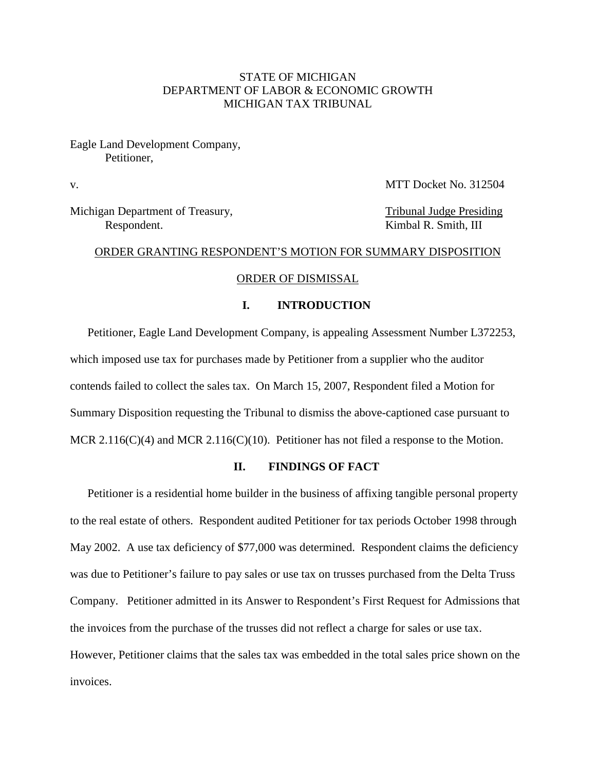# STATE OF MICHIGAN DEPARTMENT OF LABOR & ECONOMIC GROWTH MICHIGAN TAX TRIBUNAL

Eagle Land Development Company, Petitioner,

v.

Michigan Department of Treasury, Tribunal Judge Presiding Respondent. Kimbal R. Smith, III

## ORDER GRANTING RESPONDENT'S MOTION FOR SUMMARY DISPOSITION

# ORDER OF DISMISSAL

## **I. INTRODUCTION**

Petitioner, Eagle Land Development Company, is appealing Assessment Number L372253, which imposed use tax for purchases made by Petitioner from a supplier who the auditor contends failed to collect the sales tax. On March 15, 2007, Respondent filed a Motion for Summary Disposition requesting the Tribunal to dismiss the above-captioned case pursuant to MCR 2.116(C)(4) and MCR 2.116(C)(10). Petitioner has not filed a response to the Motion.

## **II. FINDINGS OF FACT**

Petitioner is a residential home builder in the business of affixing tangible personal property to the real estate of others. Respondent audited Petitioner for tax periods October 1998 through May 2002. A use tax deficiency of \$77,000 was determined. Respondent claims the deficiency was due to Petitioner's failure to pay sales or use tax on trusses purchased from the Delta Truss Company. Petitioner admitted in its Answer to Respondent's First Request for Admissions that the invoices from the purchase of the trusses did not reflect a charge for sales or use tax. However, Petitioner claims that the sales tax was embedded in the total sales price shown on the invoices.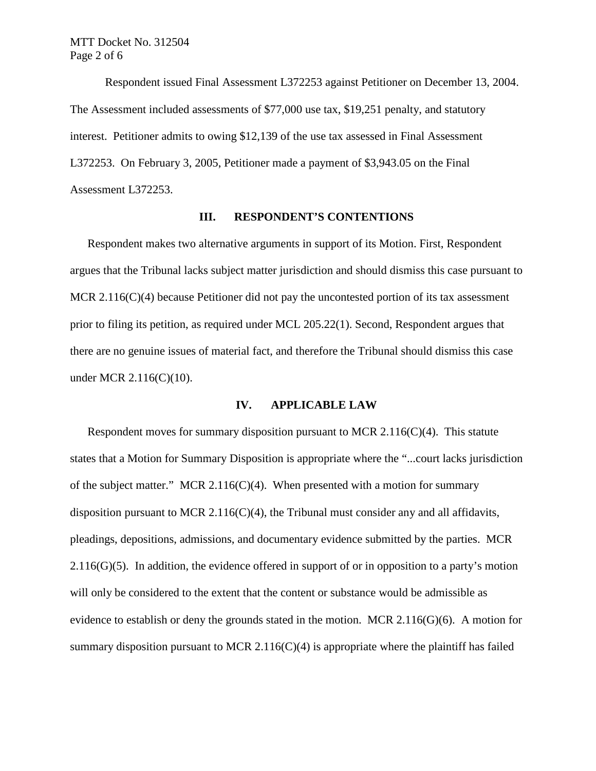Respondent issued Final Assessment L372253 against Petitioner on December 13, 2004. The Assessment included assessments of \$77,000 use tax, \$19,251 penalty, and statutory interest. Petitioner admits to owing \$12,139 of the use tax assessed in Final Assessment L372253. On February 3, 2005, Petitioner made a payment of \$3,943.05 on the Final Assessment L372253.

#### **III. RESPONDENT'S CONTENTIONS**

Respondent makes two alternative arguments in support of its Motion. First, Respondent argues that the Tribunal lacks subject matter jurisdiction and should dismiss this case pursuant to MCR 2.116(C)(4) because Petitioner did not pay the uncontested portion of its tax assessment prior to filing its petition, as required under MCL 205.22(1). Second, Respondent argues that there are no genuine issues of material fact, and therefore the Tribunal should dismiss this case under MCR 2.116(C)(10).

#### **IV. APPLICABLE LAW**

Respondent moves for summary disposition pursuant to MCR 2.116( $C$ )(4). This statute states that a Motion for Summary Disposition is appropriate where the "...court lacks jurisdiction of the subject matter." MCR 2.116(C)(4). When presented with a motion for summary disposition pursuant to MCR 2.116(C)(4), the Tribunal must consider any and all affidavits, pleadings, depositions, admissions, and documentary evidence submitted by the parties. MCR  $2.116(G)(5)$ . In addition, the evidence offered in support of or in opposition to a party's motion will only be considered to the extent that the content or substance would be admissible as evidence to establish or deny the grounds stated in the motion. MCR 2.116( $G$ )(6). A motion for summary disposition pursuant to MCR 2.116( $C$ )(4) is appropriate where the plaintiff has failed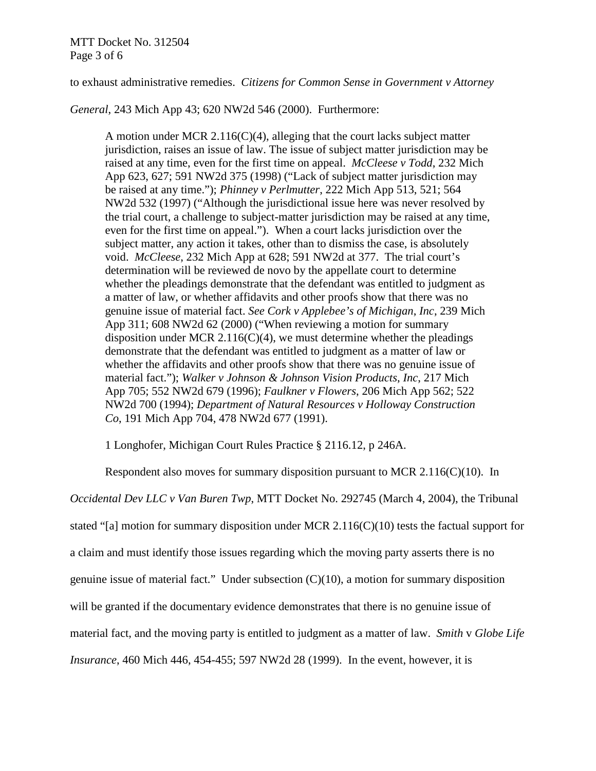# MTT Docket No. 312504 Page 3 of 6

to exhaust administrative remedies. *Citizens for Common Sense in Government v Attorney* 

*General*, 243 Mich App 43; 620 NW2d 546 (2000). Furthermore:

A motion under MCR 2.116(C)(4), alleging that the court lacks subject matter jurisdiction, raises an issue of law. The issue of subject matter jurisdiction may be raised at any time, even for the first time on appeal. *McCleese v Todd*, 232 Mich App 623, 627; 591 NW2d 375 (1998) ("Lack of subject matter jurisdiction may be raised at any time."); *Phinney v Perlmutter*, 222 Mich App 513, 521; 564 NW2d 532 (1997) ("Although the jurisdictional issue here was never resolved by the trial court, a challenge to subject-matter jurisdiction may be raised at any time, even for the first time on appeal."). When a court lacks jurisdiction over the subject matter, any action it takes, other than to dismiss the case, is absolutely void. *McCleese*, 232 Mich App at 628; 591 NW2d at 377. The trial court's determination will be reviewed de novo by the appellate court to determine whether the pleadings demonstrate that the defendant was entitled to judgment as a matter of law, or whether affidavits and other proofs show that there was no genuine issue of material fact. *See Cork v Applebee's of Michigan*, *Inc*, 239 Mich App 311; 608 NW2d 62 (2000) ("When reviewing a motion for summary disposition under MCR 2.116(C)(4), we must determine whether the pleadings demonstrate that the defendant was entitled to judgment as a matter of law or whether the affidavits and other proofs show that there was no genuine issue of material fact."); *Walker v Johnson & Johnson Vision Products*, *Inc*, 217 Mich App 705; 552 NW2d 679 (1996); *Faulkner v Flowers*, 206 Mich App 562; 522 NW2d 700 (1994); *Department of Natural Resources v Holloway Construction Co*, 191 Mich App 704, 478 NW2d 677 (1991).

1 Longhofer, Michigan Court Rules Practice § 2116.12, p 246A.

Respondent also moves for summary disposition pursuant to MCR 2.116(C)(10). In *Occidental Dev LLC v Van Buren Twp*, MTT Docket No. 292745 (March 4, 2004), the Tribunal stated "[a] motion for summary disposition under MCR 2.116(C)(10) tests the factual support for a claim and must identify those issues regarding which the moving party asserts there is no genuine issue of material fact." Under subsection (C)(10), a motion for summary disposition will be granted if the documentary evidence demonstrates that there is no genuine issue of material fact, and the moving party is entitled to judgment as a matter of law. *Smith* v *Globe Life Insurance*, 460 Mich 446, 454-455; 597 NW2d 28 (1999). In the event, however, it is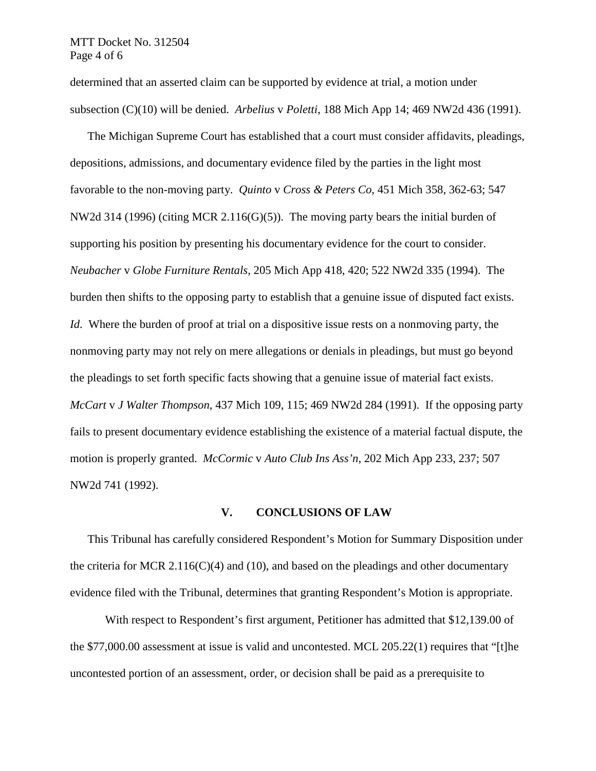#### MTT Docket No. 312504 Page 4 of 6

determined that an asserted claim can be supported by evidence at trial, a motion under subsection (C)(10) will be denied. *Arbelius* v *Poletti*, 188 Mich App 14; 469 NW2d 436 (1991).

The Michigan Supreme Court has established that a court must consider affidavits, pleadings, depositions, admissions, and documentary evidence filed by the parties in the light most favorable to the non-moving party. *Quinto* v *Cross & Peters Co*, 451 Mich 358, 362-63; 547 NW2d 314 (1996) (citing MCR 2.116(G)(5)).The moving party bears the initial burden of supporting his position by presenting his documentary evidence for the court to consider. *Neubacher* v *Globe Furniture Rentals*, 205 Mich App 418, 420; 522 NW2d 335 (1994). The burden then shifts to the opposing party to establish that a genuine issue of disputed fact exists. *Id.* Where the burden of proof at trial on a dispositive issue rests on a nonmoving party, the nonmoving party may not rely on mere allegations or denials in pleadings, but must go beyond the pleadings to set forth specific facts showing that a genuine issue of material fact exists. *McCart* v *J Walter Thompson*, 437 Mich 109, 115; 469 NW2d 284 (1991). If the opposing party fails to present documentary evidence establishing the existence of a material factual dispute, the motion is properly granted. *McCormic* v *Auto Club Ins Ass'n*, 202 Mich App 233, 237; 507 NW2d 741 (1992).

#### **V. CONCLUSIONS OF LAW**

This Tribunal has carefully considered Respondent's Motion for Summary Disposition under the criteria for MCR 2.116( $C$ )(4) and (10), and based on the pleadings and other documentary evidence filed with the Tribunal, determines that granting Respondent's Motion is appropriate.

With respect to Respondent's first argument, Petitioner has admitted that \$12,139.00 of the \$77,000.00 assessment at issue is valid and uncontested. MCL 205.22(1) requires that "[t]he uncontested portion of an assessment, order, or decision shall be paid as a prerequisite to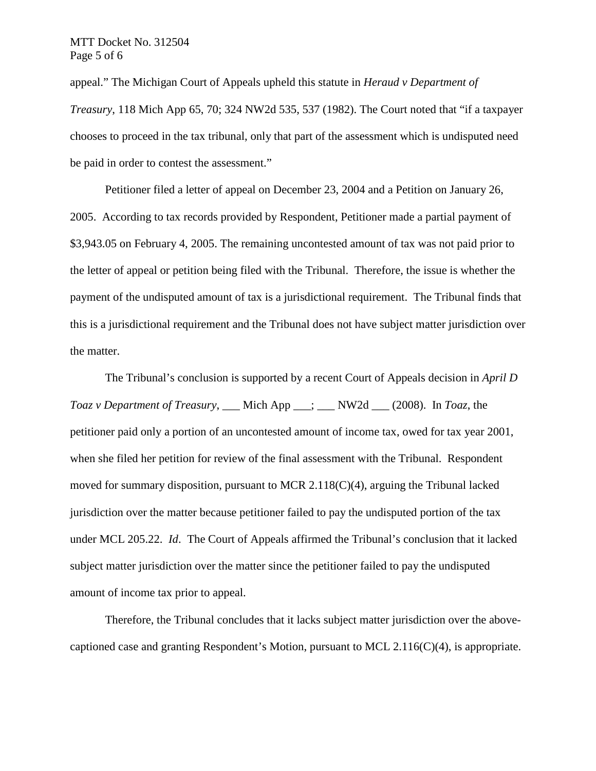## MTT Docket No. 312504 Page 5 of 6

appeal." The Michigan Court of Appeals upheld this statute in *Heraud v Department of Treasury*, 118 Mich App 65, 70; 324 NW2d 535, 537 (1982). The Court noted that "if a taxpayer chooses to proceed in the tax tribunal, only that part of the assessment which is undisputed need be paid in order to contest the assessment."

Petitioner filed a letter of appeal on December 23, 2004 and a Petition on January 26, 2005. According to tax records provided by Respondent, Petitioner made a partial payment of \$3,943.05 on February 4, 2005. The remaining uncontested amount of tax was not paid prior to the letter of appeal or petition being filed with the Tribunal. Therefore, the issue is whether the payment of the undisputed amount of tax is a jurisdictional requirement. The Tribunal finds that this is a jurisdictional requirement and the Tribunal does not have subject matter jurisdiction over the matter.

The Tribunal's conclusion is supported by a recent Court of Appeals decision in *April D Toaz v Department of Treasury*, \_\_\_ Mich App \_\_\_; \_\_\_ NW2d \_\_\_ (2008). In *Toaz*, the petitioner paid only a portion of an uncontested amount of income tax, owed for tax year 2001, when she filed her petition for review of the final assessment with the Tribunal. Respondent moved for summary disposition, pursuant to MCR 2.118 $(C)(4)$ , arguing the Tribunal lacked jurisdiction over the matter because petitioner failed to pay the undisputed portion of the tax under MCL 205.22. *Id*. The Court of Appeals affirmed the Tribunal's conclusion that it lacked subject matter jurisdiction over the matter since the petitioner failed to pay the undisputed amount of income tax prior to appeal.

Therefore, the Tribunal concludes that it lacks subject matter jurisdiction over the abovecaptioned case and granting Respondent's Motion, pursuant to MCL  $2.116(C)(4)$ , is appropriate.